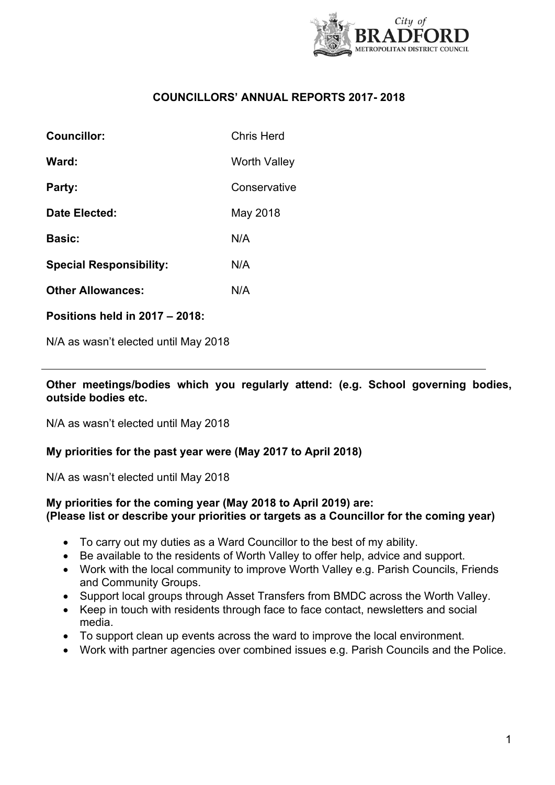

## **COUNCILLORS' ANNUAL REPORTS 2017- 2018**

| Councillor:                    | Chris Herd   |
|--------------------------------|--------------|
| Ward:                          | Worth Valley |
| Party:                         | Conservative |
| Date Elected:                  | May 2018     |
| <b>Basic:</b>                  | N/A          |
| <b>Special Responsibility:</b> | N/A          |
| <b>Other Allowances:</b>       | N/A          |
|                                |              |

**Positions held in 2017 – 2018:**

N/A as wasn't elected until May 2018

#### **Other meetings/bodies which you regularly attend: (e.g. School governing bodies, outside bodies etc.**

N/A as wasn't elected until May 2018

### **My priorities for the past year were (May 2017 to April 2018)**

N/A as wasn't elected until May 2018

# **My priorities for the coming year (May 2018 to April 2019) are: (Please list or describe your priorities or targets as a Councillor for the coming year)**

- To carry out my duties as a Ward Councillor to the best of my ability.
- Be available to the residents of Worth Valley to offer help, advice and support.
- Work with the local community to improve Worth Valley e.g. Parish Councils, Friends and Community Groups.
- Support local groups through Asset Transfers from BMDC across the Worth Valley.
- Keep in touch with residents through face to face contact, newsletters and social media.
- To support clean up events across the ward to improve the local environment.
- Work with partner agencies over combined issues e.g. Parish Councils and the Police.